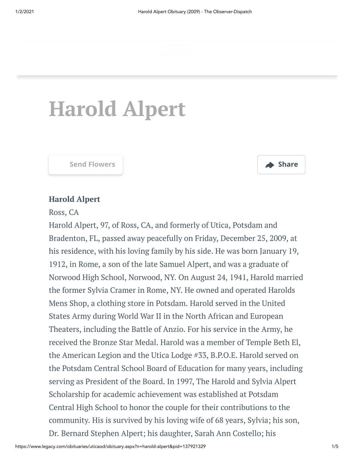# **Harold Alpert**



### **Harold Alpert**

Ross, CA

Harold Alpert, 97, of Ross, CA, and formerly of Utica, Potsdam and Bradenton, FL, passed away peacefully on Friday, December 25, 2009, at his residence, with his loving family by his side. He was born January 19, 1912, in Rome, a son of the late Samuel Alpert, and was a graduate of Norwood High School, Norwood, NY. On August 24, 1941, Harold married the former Sylvia Cramer in Rome, NY. He owned and operated Harolds Mens Shop, a clothing store in Potsdam. Harold served in the United States Army during World War II in the North African and European Theaters, including the Battle of Anzio. For his service in the Army, he received the Bronze Star Medal. Harold was a member of Temple Beth El, the American Legion and the Utica Lodge #33, B.P.O.E. Harold served on the Potsdam Central School Board of Education for many years, including serving as President of the Board. In 1997, The Harold and Sylvia Alpert Scholarship for academic achievement was established at Potsdam Central High School to honor the couple for their contributions to the community. His is survived by his loving wife of 68 years, Sylvia; his son, Dr. Bernard Stephen Alpert; his daughter, Sarah Ann Costello; his